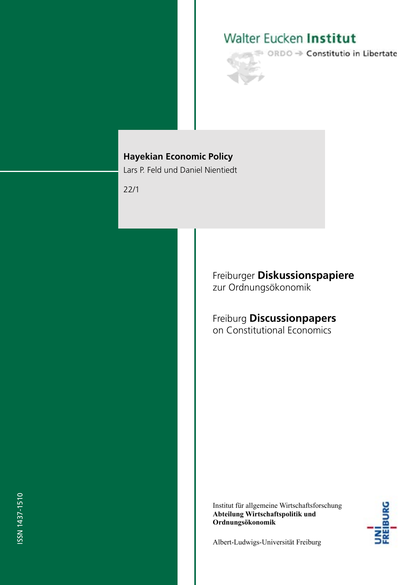# Walter Eucken Institut



# **Hayekian Economic Policy**

Lars P. Feld und Daniel Nientiedt

22/1

Freiburger **Diskussionspapiere** zur Ordnungsökonomik

Freiburg **Discussionpapers** on Constitutional Economics

Institut für allgemeine Wirtschaftsforschung **Abteilung Wirtschaftspolitik und Ordnungsökonomik**



Albert-Ludwigs-Universität Freiburg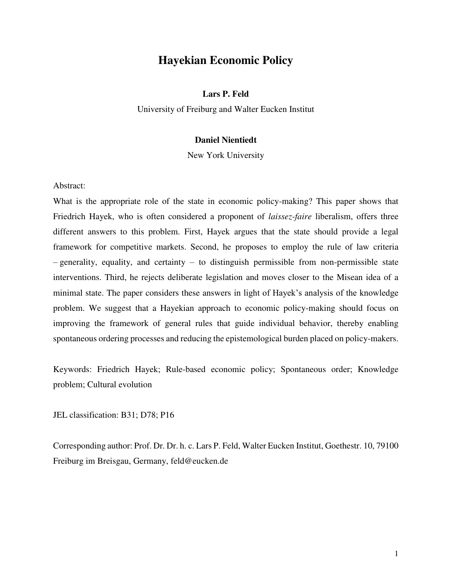# **Hayekian Economic Policy**

# **Lars P. Feld**

University of Freiburg and Walter Eucken Institut

## **Daniel Nientiedt**

New York University

### Abstract:

What is the appropriate role of the state in economic policy-making? This paper shows that Friedrich Hayek, who is often considered a proponent of *laissez-faire* liberalism, offers three different answers to this problem. First, Hayek argues that the state should provide a legal framework for competitive markets. Second, he proposes to employ the rule of law criteria – generality, equality, and certainty – to distinguish permissible from non-permissible state interventions. Third, he rejects deliberate legislation and moves closer to the Misean idea of a minimal state. The paper considers these answers in light of Hayek's analysis of the knowledge problem. We suggest that a Hayekian approach to economic policy-making should focus on improving the framework of general rules that guide individual behavior, thereby enabling spontaneous ordering processes and reducing the epistemological burden placed on policy-makers.

Keywords: Friedrich Hayek; Rule-based economic policy; Spontaneous order; Knowledge problem; Cultural evolution

JEL classification: B31; D78; P16

Corresponding author: Prof. Dr. Dr. h. c. Lars P. Feld, Walter Eucken Institut, Goethestr. 10, 79100 Freiburg im Breisgau, Germany, feld@eucken.de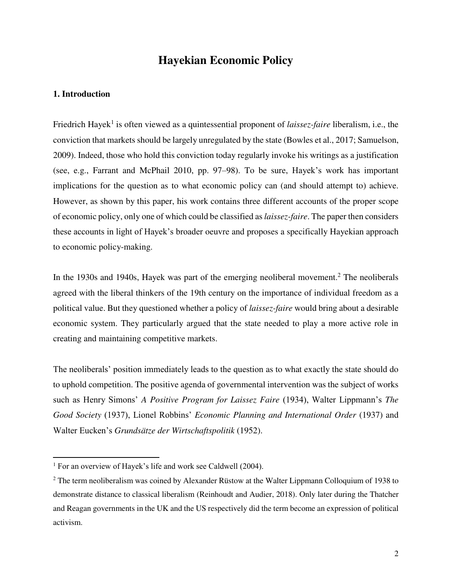# **Hayekian Economic Policy**

## **1. Introduction**

֬֒

Friedrich Hayek<sup>1</sup> is often viewed as a quintessential proponent of *laissez-faire* liberalism, i.e., the conviction that markets should be largely unregulated by the state (Bowles et al., 2017; Samuelson, 2009). Indeed, those who hold this conviction today regularly invoke his writings as a justification (see, e.g., Farrant and McPhail 2010, pp. 97–98). To be sure, Hayek's work has important implications for the question as to what economic policy can (and should attempt to) achieve. However, as shown by this paper, his work contains three different accounts of the proper scope of economic policy, only one of which could be classified as *laissez-faire*. The paper then considers these accounts in light of Hayek's broader oeuvre and proposes a specifically Hayekian approach to economic policy-making.

In the 1930s and 1940s, Hayek was part of the emerging neoliberal movement.<sup>2</sup> The neoliberals agreed with the liberal thinkers of the 19th century on the importance of individual freedom as a political value. But they questioned whether a policy of *laissez-faire* would bring about a desirable economic system. They particularly argued that the state needed to play a more active role in creating and maintaining competitive markets.

The neoliberals' position immediately leads to the question as to what exactly the state should do to uphold competition. The positive agenda of governmental intervention was the subject of works such as Henry Simons' *A Positive Program for Laissez Faire* (1934), Walter Lippmann's *The Good Society* (1937), Lionel Robbins' *Economic Planning and International Order* (1937) and Walter Eucken's *Grundsätze der Wirtschaftspolitik* (1952).

<sup>&</sup>lt;sup>1</sup> For an overview of Hayek's life and work see Caldwell (2004).

 $2$  The term neoliberalism was coined by Alexander Rüstow at the Walter Lippmann Colloquium of 1938 to demonstrate distance to classical liberalism (Reinhoudt and Audier, 2018). Only later during the Thatcher and Reagan governments in the UK and the US respectively did the term become an expression of political activism.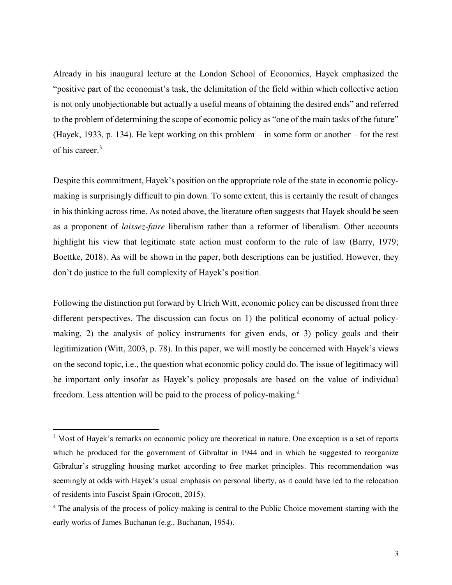Already in his inaugural lecture at the London School of Economics, Hayek emphasized the "positive part of the economist's task, the delimitation of the field within which collective action is not only unobjectionable but actually a useful means of obtaining the desired ends" and referred to the problem of determining the scope of economic policy as "one of the main tasks of the future" (Hayek, 1933, p. 134). He kept working on this problem – in some form or another – for the rest of his career.<sup>3</sup>

Despite this commitment, Hayek's position on the appropriate role of the state in economic policymaking is surprisingly difficult to pin down. To some extent, this is certainly the result of changes in his thinking across time. As noted above, the literature often suggests that Hayek should be seen as a proponent of *laissez-faire* liberalism rather than a reformer of liberalism. Other accounts highlight his view that legitimate state action must conform to the rule of law (Barry, 1979; Boettke, 2018). As will be shown in the paper, both descriptions can be justified. However, they don't do justice to the full complexity of Hayek's position.

Following the distinction put forward by Ulrich Witt, economic policy can be discussed from three different perspectives. The discussion can focus on 1) the political economy of actual policymaking, 2) the analysis of policy instruments for given ends, or 3) policy goals and their legitimization (Witt, 2003, p. 78). In this paper, we will mostly be concerned with Hayek's views on the second topic, i.e., the question what economic policy could do. The issue of legitimacy will be important only insofar as Hayek's policy proposals are based on the value of individual freedom. Less attention will be paid to the process of policy-making.<sup>4</sup>

<sup>&</sup>lt;sup>3</sup> Most of Hayek's remarks on economic policy are theoretical in nature. One exception is a set of reports which he produced for the government of Gibraltar in 1944 and in which he suggested to reorganize Gibraltar's struggling housing market according to free market principles. This recommendation was seemingly at odds with Hayek's usual emphasis on personal liberty, as it could have led to the relocation of residents into Fascist Spain (Grocott, 2015).

<sup>&</sup>lt;sup>4</sup> The analysis of the process of policy-making is central to the Public Choice movement starting with the early works of James Buchanan (e.g., Buchanan, 1954).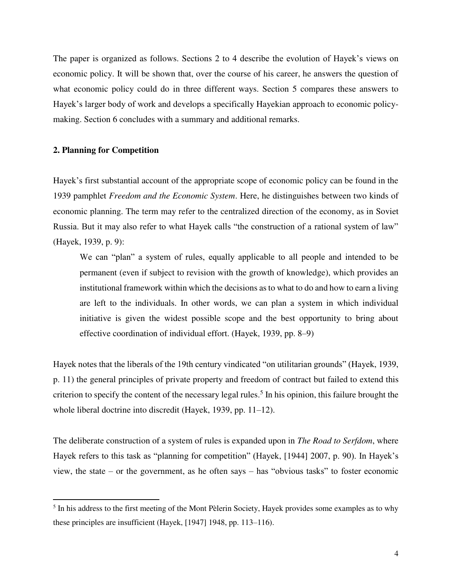The paper is organized as follows. Sections 2 to 4 describe the evolution of Hayek's views on economic policy. It will be shown that, over the course of his career, he answers the question of what economic policy could do in three different ways. Section 5 compares these answers to Hayek's larger body of work and develops a specifically Hayekian approach to economic policymaking. Section 6 concludes with a summary and additional remarks.

### **2. Planning for Competition**

֬֒

Hayek's first substantial account of the appropriate scope of economic policy can be found in the 1939 pamphlet *Freedom and the Economic System*. Here, he distinguishes between two kinds of economic planning. The term may refer to the centralized direction of the economy, as in Soviet Russia. But it may also refer to what Hayek calls "the construction of a rational system of law" (Hayek, 1939, p. 9):

We can "plan" a system of rules, equally applicable to all people and intended to be permanent (even if subject to revision with the growth of knowledge), which provides an institutional framework within which the decisions as to what to do and how to earn a living are left to the individuals. In other words, we can plan a system in which individual initiative is given the widest possible scope and the best opportunity to bring about effective coordination of individual effort. (Hayek, 1939, pp. 8–9)

Hayek notes that the liberals of the 19th century vindicated "on utilitarian grounds" (Hayek, 1939, p. 11) the general principles of private property and freedom of contract but failed to extend this criterion to specify the content of the necessary legal rules.<sup>5</sup> In his opinion, this failure brought the whole liberal doctrine into discredit (Hayek, 1939, pp. 11–12).

The deliberate construction of a system of rules is expanded upon in *The Road to Serfdom*, where Hayek refers to this task as "planning for competition" (Hayek, [1944] 2007, p. 90). In Hayek's view, the state – or the government, as he often says – has "obvious tasks" to foster economic

<sup>&</sup>lt;sup>5</sup> In his address to the first meeting of the Mont Pèlerin Society, Hayek provides some examples as to why these principles are insufficient (Hayek, [1947] 1948, pp. 113–116).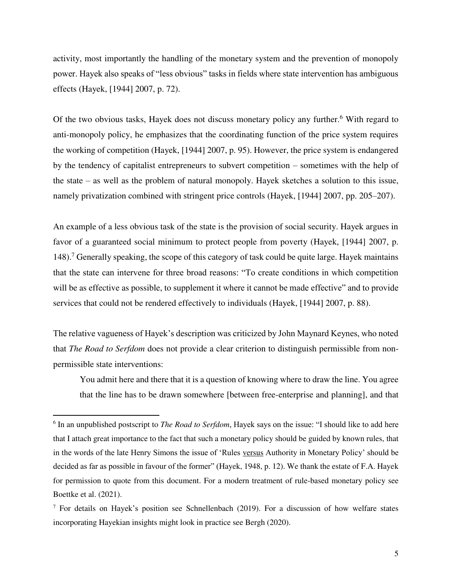activity, most importantly the handling of the monetary system and the prevention of monopoly power. Hayek also speaks of "less obvious" tasks in fields where state intervention has ambiguous effects (Hayek, [1944] 2007, p. 72).

Of the two obvious tasks, Hayek does not discuss monetary policy any further.<sup>6</sup> With regard to anti-monopoly policy, he emphasizes that the coordinating function of the price system requires the working of competition (Hayek, [1944] 2007, p. 95). However, the price system is endangered by the tendency of capitalist entrepreneurs to subvert competition – sometimes with the help of the state – as well as the problem of natural monopoly. Hayek sketches a solution to this issue, namely privatization combined with stringent price controls (Hayek, [1944] 2007, pp. 205–207).

An example of a less obvious task of the state is the provision of social security. Hayek argues in favor of a guaranteed social minimum to protect people from poverty (Hayek, [1944] 2007, p. 148).<sup>7</sup> Generally speaking, the scope of this category of task could be quite large. Hayek maintains that the state can intervene for three broad reasons: "To create conditions in which competition will be as effective as possible, to supplement it where it cannot be made effective" and to provide services that could not be rendered effectively to individuals (Hayek, [1944] 2007, p. 88).

The relative vagueness of Hayek's description was criticized by John Maynard Keynes, who noted that *The Road to Serfdom* does not provide a clear criterion to distinguish permissible from nonpermissible state interventions:

You admit here and there that it is a question of knowing where to draw the line. You agree that the line has to be drawn somewhere [between free-enterprise and planning], and that

<sup>6</sup> In an unpublished postscript to *The Road to Serfdom*, Hayek says on the issue: "I should like to add here that I attach great importance to the fact that such a monetary policy should be guided by known rules, that in the words of the late Henry Simons the issue of 'Rules versus Authority in Monetary Policy' should be decided as far as possible in favour of the former" (Hayek, 1948, p. 12). We thank the estate of F.A. Hayek for permission to quote from this document. For a modern treatment of rule-based monetary policy see Boettke et al. (2021).

 $<sup>7</sup>$  For details on Hayek's position see Schnellenbach (2019). For a discussion of how welfare states</sup> incorporating Hayekian insights might look in practice see Bergh (2020).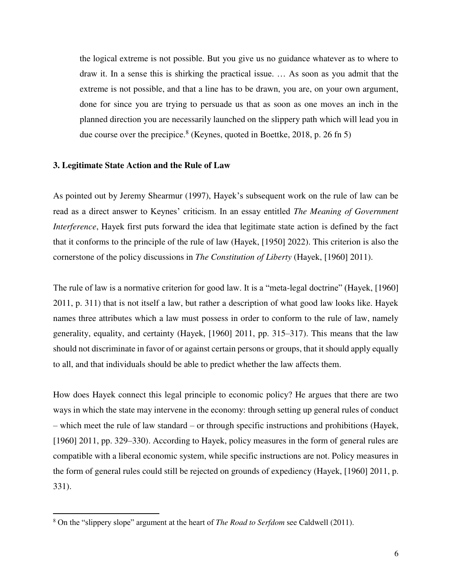the logical extreme is not possible. But you give us no guidance whatever as to where to draw it. In a sense this is shirking the practical issue. … As soon as you admit that the extreme is not possible, and that a line has to be drawn, you are, on your own argument, done for since you are trying to persuade us that as soon as one moves an inch in the planned direction you are necessarily launched on the slippery path which will lead you in due course over the precipice.<sup>8</sup> (Keynes, quoted in Boettke, 2018, p. 26 fn 5)

### **3. Legitimate State Action and the Rule of Law**

As pointed out by Jeremy Shearmur (1997), Hayek's subsequent work on the rule of law can be read as a direct answer to Keynes' criticism. In an essay entitled *The Meaning of Government Interference*, Hayek first puts forward the idea that legitimate state action is defined by the fact that it conforms to the principle of the rule of law (Hayek, [1950] 2022). This criterion is also the cornerstone of the policy discussions in *The Constitution of Liberty* (Hayek, [1960] 2011).

The rule of law is a normative criterion for good law. It is a "meta-legal doctrine" (Hayek, [1960] 2011, p. 311) that is not itself a law, but rather a description of what good law looks like. Hayek names three attributes which a law must possess in order to conform to the rule of law, namely generality, equality, and certainty (Hayek, [1960] 2011, pp. 315–317). This means that the law should not discriminate in favor of or against certain persons or groups, that it should apply equally to all, and that individuals should be able to predict whether the law affects them.

How does Hayek connect this legal principle to economic policy? He argues that there are two ways in which the state may intervene in the economy: through setting up general rules of conduct – which meet the rule of law standard – or through specific instructions and prohibitions (Hayek, [1960] 2011, pp. 329–330). According to Hayek, policy measures in the form of general rules are compatible with a liberal economic system, while specific instructions are not. Policy measures in the form of general rules could still be rejected on grounds of expediency (Hayek, [1960] 2011, p. 331).

<sup>8</sup> On the "slippery slope" argument at the heart of *The Road to Serfdom* see Caldwell (2011).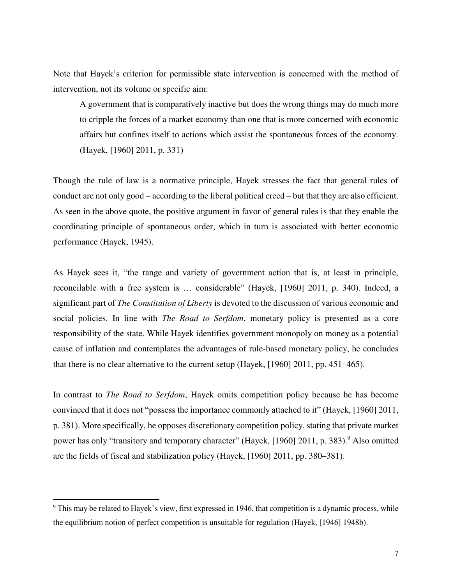Note that Hayek's criterion for permissible state intervention is concerned with the method of intervention, not its volume or specific aim:

A government that is comparatively inactive but does the wrong things may do much more to cripple the forces of a market economy than one that is more concerned with economic affairs but confines itself to actions which assist the spontaneous forces of the economy. (Hayek, [1960] 2011, p. 331)

Though the rule of law is a normative principle, Hayek stresses the fact that general rules of conduct are not only good – according to the liberal political creed – but that they are also efficient. As seen in the above quote, the positive argument in favor of general rules is that they enable the coordinating principle of spontaneous order, which in turn is associated with better economic performance (Hayek, 1945).

As Hayek sees it, "the range and variety of government action that is, at least in principle, reconcilable with a free system is … considerable" (Hayek, [1960] 2011, p. 340). Indeed, a significant part of *The Constitution of Liberty* is devoted to the discussion of various economic and social policies. In line with *The Road to Serfdom*, monetary policy is presented as a core responsibility of the state. While Hayek identifies government monopoly on money as a potential cause of inflation and contemplates the advantages of rule-based monetary policy, he concludes that there is no clear alternative to the current setup (Hayek, [1960] 2011, pp. 451–465).

In contrast to *The Road to Serfdom*, Hayek omits competition policy because he has become convinced that it does not "possess the importance commonly attached to it" (Hayek, [1960] 2011, p. 381). More specifically, he opposes discretionary competition policy, stating that private market power has only "transitory and temporary character" (Hayek, [1960] 2011, p. 383).<sup>9</sup> Also omitted are the fields of fiscal and stabilization policy (Hayek, [1960] 2011, pp. 380–381).

<sup>&</sup>lt;sup>9</sup> This may be related to Hayek's view, first expressed in 1946, that competition is a dynamic process, while the equilibrium notion of perfect competition is unsuitable for regulation (Hayek, [1946] 1948b).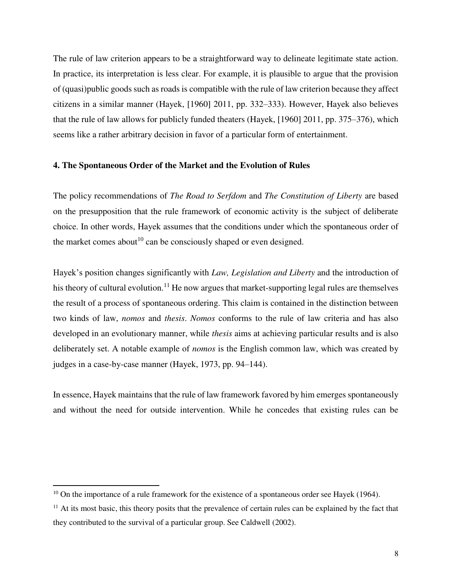The rule of law criterion appears to be a straightforward way to delineate legitimate state action. In practice, its interpretation is less clear. For example, it is plausible to argue that the provision of (quasi)public goods such as roads is compatible with the rule of law criterion because they affect citizens in a similar manner (Hayek, [1960] 2011, pp. 332–333). However, Hayek also believes that the rule of law allows for publicly funded theaters (Hayek, [1960] 2011, pp. 375–376), which seems like a rather arbitrary decision in favor of a particular form of entertainment.

# **4. The Spontaneous Order of the Market and the Evolution of Rules**

The policy recommendations of *The Road to Serfdom* and *The Constitution of Liberty* are based on the presupposition that the rule framework of economic activity is the subject of deliberate choice. In other words, Hayek assumes that the conditions under which the spontaneous order of the market comes about<sup>10</sup> can be consciously shaped or even designed.

Hayek's position changes significantly with *Law, Legislation and Liberty* and the introduction of his theory of cultural evolution.<sup>11</sup> He now argues that market-supporting legal rules are themselves the result of a process of spontaneous ordering. This claim is contained in the distinction between two kinds of law, *nomos* and *thesis*. *Nomos* conforms to the rule of law criteria and has also developed in an evolutionary manner, while *thesis* aims at achieving particular results and is also deliberately set. A notable example of *nomos* is the English common law, which was created by judges in a case-by-case manner (Hayek, 1973, pp. 94–144).

In essence, Hayek maintains that the rule of law framework favored by him emerges spontaneously and without the need for outside intervention. While he concedes that existing rules can be

 $10$  On the importance of a rule framework for the existence of a spontaneous order see Hayek (1964).

 $11$  At its most basic, this theory posits that the prevalence of certain rules can be explained by the fact that they contributed to the survival of a particular group. See Caldwell (2002).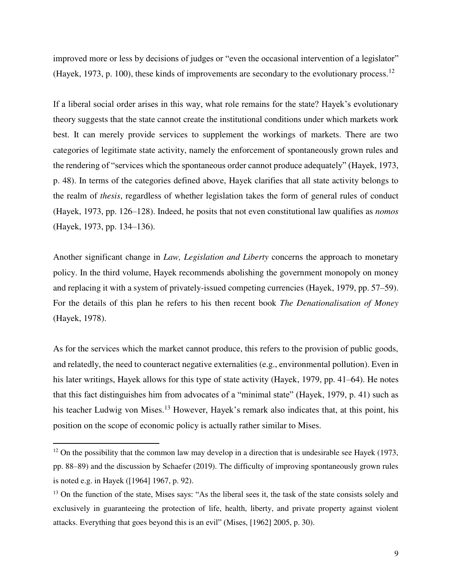improved more or less by decisions of judges or "even the occasional intervention of a legislator" (Hayek, 1973, p. 100), these kinds of improvements are secondary to the evolutionary process.<sup>12</sup>

If a liberal social order arises in this way, what role remains for the state? Hayek's evolutionary theory suggests that the state cannot create the institutional conditions under which markets work best. It can merely provide services to supplement the workings of markets. There are two categories of legitimate state activity, namely the enforcement of spontaneously grown rules and the rendering of "services which the spontaneous order cannot produce adequately" (Hayek, 1973, p. 48). In terms of the categories defined above, Hayek clarifies that all state activity belongs to the realm of *thesis*, regardless of whether legislation takes the form of general rules of conduct (Hayek, 1973, pp. 126–128). Indeed, he posits that not even constitutional law qualifies as *nomos* (Hayek, 1973, pp. 134–136).

Another significant change in *Law, Legislation and Liberty* concerns the approach to monetary policy. In the third volume, Hayek recommends abolishing the government monopoly on money and replacing it with a system of privately-issued competing currencies (Hayek, 1979, pp. 57–59). For the details of this plan he refers to his then recent book *The Denationalisation of Money* (Hayek, 1978).

As for the services which the market cannot produce, this refers to the provision of public goods, and relatedly, the need to counteract negative externalities (e.g., environmental pollution). Even in his later writings, Hayek allows for this type of state activity (Hayek, 1979, pp. 41–64). He notes that this fact distinguishes him from advocates of a "minimal state" (Hayek, 1979, p. 41) such as his teacher Ludwig von Mises.<sup>13</sup> However, Hayek's remark also indicates that, at this point, his position on the scope of economic policy is actually rather similar to Mises.

 $12$  On the possibility that the common law may develop in a direction that is undesirable see Hayek (1973, pp. 88–89) and the discussion by Schaefer (2019). The difficulty of improving spontaneously grown rules is noted e.g. in Hayek ([1964] 1967, p. 92).

<sup>&</sup>lt;sup>13</sup> On the function of the state, Mises says: "As the liberal sees it, the task of the state consists solely and exclusively in guaranteeing the protection of life, health, liberty, and private property against violent attacks. Everything that goes beyond this is an evil" (Mises, [1962] 2005, p. 30).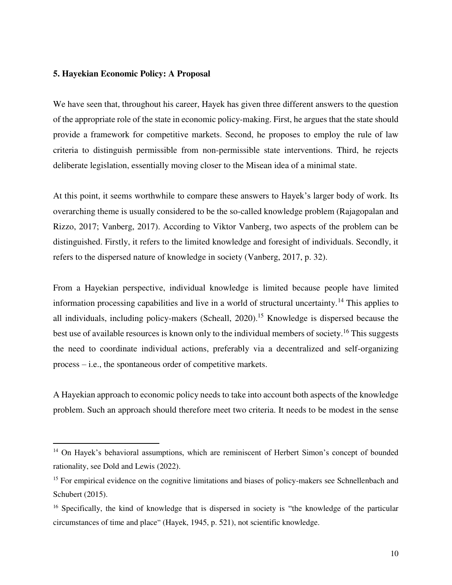## **5. Hayekian Economic Policy: A Proposal**

We have seen that, throughout his career, Hayek has given three different answers to the question of the appropriate role of the state in economic policy-making. First, he argues that the state should provide a framework for competitive markets. Second, he proposes to employ the rule of law criteria to distinguish permissible from non-permissible state interventions. Third, he rejects deliberate legislation, essentially moving closer to the Misean idea of a minimal state.

At this point, it seems worthwhile to compare these answers to Hayek's larger body of work. Its overarching theme is usually considered to be the so-called knowledge problem (Rajagopalan and Rizzo, 2017; Vanberg, 2017). According to Viktor Vanberg, two aspects of the problem can be distinguished. Firstly, it refers to the limited knowledge and foresight of individuals. Secondly, it refers to the dispersed nature of knowledge in society (Vanberg, 2017, p. 32).

From a Hayekian perspective, individual knowledge is limited because people have limited information processing capabilities and live in a world of structural uncertainty.<sup>14</sup> This applies to all individuals, including policy-makers (Scheall, 2020).<sup>15</sup> Knowledge is dispersed because the best use of available resources is known only to the individual members of society.<sup>16</sup> This suggests the need to coordinate individual actions, preferably via a decentralized and self-organizing process – i.e., the spontaneous order of competitive markets.

A Hayekian approach to economic policy needs to take into account both aspects of the knowledge problem. Such an approach should therefore meet two criteria. It needs to be modest in the sense

<sup>&</sup>lt;sup>14</sup> On Hayek's behavioral assumptions, which are reminiscent of Herbert Simon's concept of bounded rationality, see Dold and Lewis (2022).

<sup>&</sup>lt;sup>15</sup> For empirical evidence on the cognitive limitations and biases of policy-makers see Schnellenbach and Schubert (2015).

<sup>&</sup>lt;sup>16</sup> Specifically, the kind of knowledge that is dispersed in society is "the knowledge of the particular" circumstances of time and place" (Hayek, 1945, p. 521), not scientific knowledge.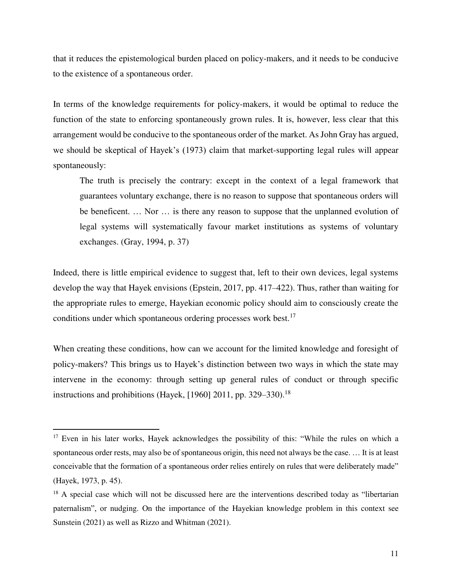that it reduces the epistemological burden placed on policy-makers, and it needs to be conducive to the existence of a spontaneous order.

In terms of the knowledge requirements for policy-makers, it would be optimal to reduce the function of the state to enforcing spontaneously grown rules. It is, however, less clear that this arrangement would be conducive to the spontaneous order of the market. As John Gray has argued, we should be skeptical of Hayek's (1973) claim that market-supporting legal rules will appear spontaneously:

The truth is precisely the contrary: except in the context of a legal framework that guarantees voluntary exchange, there is no reason to suppose that spontaneous orders will be beneficent. … Nor … is there any reason to suppose that the unplanned evolution of legal systems will systematically favour market institutions as systems of voluntary exchanges. (Gray, 1994, p. 37)

Indeed, there is little empirical evidence to suggest that, left to their own devices, legal systems develop the way that Hayek envisions (Epstein, 2017, pp. 417–422). Thus, rather than waiting for the appropriate rules to emerge, Hayekian economic policy should aim to consciously create the conditions under which spontaneous ordering processes work best.<sup>17</sup>

When creating these conditions, how can we account for the limited knowledge and foresight of policy-makers? This brings us to Hayek's distinction between two ways in which the state may intervene in the economy: through setting up general rules of conduct or through specific instructions and prohibitions (Hayek, [1960] 2011, pp. 329–330).<sup>18</sup>

<sup>&</sup>lt;sup>17</sup> Even in his later works, Hayek acknowledges the possibility of this: "While the rules on which a spontaneous order rests, may also be of spontaneous origin, this need not always be the case. … It is at least conceivable that the formation of a spontaneous order relies entirely on rules that were deliberately made" (Hayek, 1973, p. 45).

<sup>&</sup>lt;sup>18</sup> A special case which will not be discussed here are the interventions described today as "libertarian" paternalism", or nudging. On the importance of the Hayekian knowledge problem in this context see Sunstein (2021) as well as Rizzo and Whitman (2021).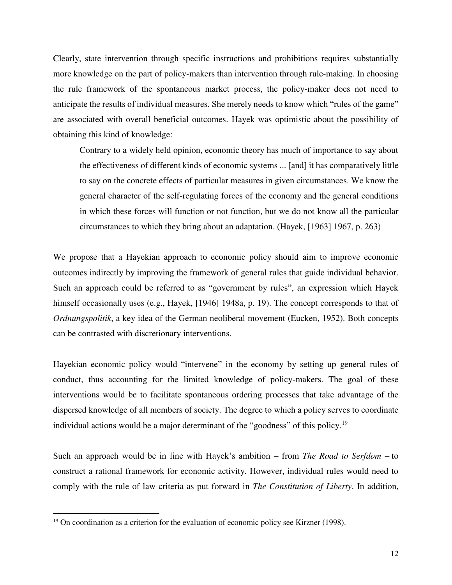Clearly, state intervention through specific instructions and prohibitions requires substantially more knowledge on the part of policy-makers than intervention through rule-making. In choosing the rule framework of the spontaneous market process, the policy-maker does not need to anticipate the results of individual measures. She merely needs to know which "rules of the game" are associated with overall beneficial outcomes. Hayek was optimistic about the possibility of obtaining this kind of knowledge:

Contrary to a widely held opinion, economic theory has much of importance to say about the effectiveness of different kinds of economic systems ... [and] it has comparatively little to say on the concrete effects of particular measures in given circumstances. We know the general character of the self-regulating forces of the economy and the general conditions in which these forces will function or not function, but we do not know all the particular circumstances to which they bring about an adaptation. (Hayek, [1963] 1967, p. 263)

We propose that a Hayekian approach to economic policy should aim to improve economic outcomes indirectly by improving the framework of general rules that guide individual behavior. Such an approach could be referred to as "government by rules", an expression which Hayek himself occasionally uses (e.g., Hayek, [1946] 1948a, p. 19). The concept corresponds to that of *Ordnungspolitik*, a key idea of the German neoliberal movement (Eucken, 1952). Both concepts can be contrasted with discretionary interventions.

Hayekian economic policy would "intervene" in the economy by setting up general rules of conduct, thus accounting for the limited knowledge of policy-makers. The goal of these interventions would be to facilitate spontaneous ordering processes that take advantage of the dispersed knowledge of all members of society. The degree to which a policy serves to coordinate individual actions would be a major determinant of the "goodness" of this policy.<sup>19</sup>

Such an approach would be in line with Hayek's ambition – from *The Road to Serfdom* – to construct a rational framework for economic activity. However, individual rules would need to comply with the rule of law criteria as put forward in *The Constitution of Liberty*. In addition,

 $19$  On coordination as a criterion for the evaluation of economic policy see Kirzner (1998).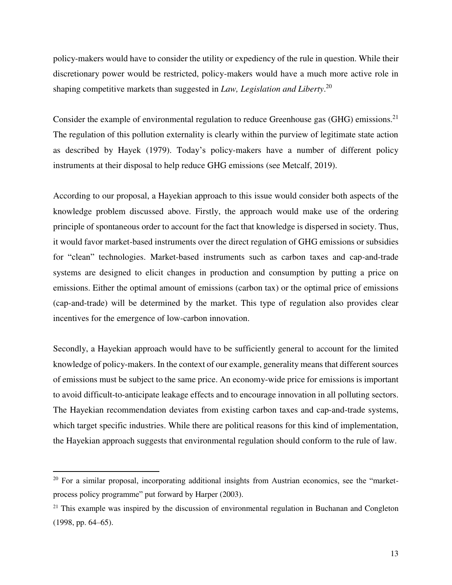policy-makers would have to consider the utility or expediency of the rule in question. While their discretionary power would be restricted, policy-makers would have a much more active role in shaping competitive markets than suggested in *Law, Legislation and Liberty*. 20

Consider the example of environmental regulation to reduce Greenhouse gas (GHG) emissions.<sup>21</sup> The regulation of this pollution externality is clearly within the purview of legitimate state action as described by Hayek (1979). Today's policy-makers have a number of different policy instruments at their disposal to help reduce GHG emissions (see Metcalf, 2019).

According to our proposal, a Hayekian approach to this issue would consider both aspects of the knowledge problem discussed above. Firstly, the approach would make use of the ordering principle of spontaneous order to account for the fact that knowledge is dispersed in society. Thus, it would favor market-based instruments over the direct regulation of GHG emissions or subsidies for "clean" technologies. Market-based instruments such as carbon taxes and cap-and-trade systems are designed to elicit changes in production and consumption by putting a price on emissions. Either the optimal amount of emissions (carbon tax) or the optimal price of emissions (cap-and-trade) will be determined by the market. This type of regulation also provides clear incentives for the emergence of low-carbon innovation.

Secondly, a Hayekian approach would have to be sufficiently general to account for the limited knowledge of policy-makers. In the context of our example, generality means that different sources of emissions must be subject to the same price. An economy-wide price for emissions is important to avoid difficult-to-anticipate leakage effects and to encourage innovation in all polluting sectors. The Hayekian recommendation deviates from existing carbon taxes and cap-and-trade systems, which target specific industries. While there are political reasons for this kind of implementation, the Hayekian approach suggests that environmental regulation should conform to the rule of law.

֦

<sup>&</sup>lt;sup>20</sup> For a similar proposal, incorporating additional insights from Austrian economics, see the "marketprocess policy programme" put forward by Harper (2003).

 $21$  This example was inspired by the discussion of environmental regulation in Buchanan and Congleton (1998, pp. 64–65).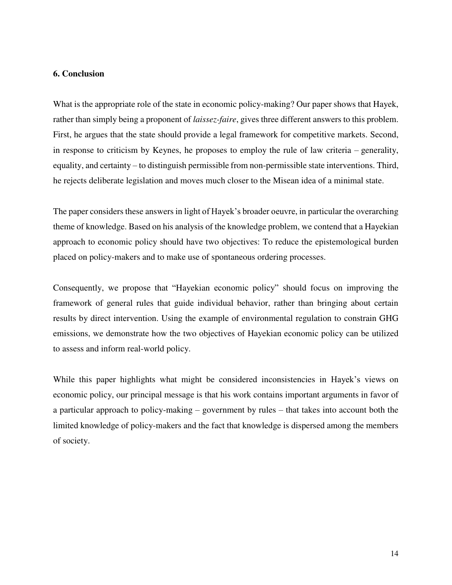# **6. Conclusion**

What is the appropriate role of the state in economic policy-making? Our paper shows that Hayek, rather than simply being a proponent of *laissez-faire*, gives three different answers to this problem. First, he argues that the state should provide a legal framework for competitive markets. Second, in response to criticism by Keynes, he proposes to employ the rule of law criteria – generality, equality, and certainty – to distinguish permissible from non-permissible state interventions. Third, he rejects deliberate legislation and moves much closer to the Misean idea of a minimal state.

The paper considers these answers in light of Hayek's broader oeuvre, in particular the overarching theme of knowledge. Based on his analysis of the knowledge problem, we contend that a Hayekian approach to economic policy should have two objectives: To reduce the epistemological burden placed on policy-makers and to make use of spontaneous ordering processes.

Consequently, we propose that "Hayekian economic policy" should focus on improving the framework of general rules that guide individual behavior, rather than bringing about certain results by direct intervention. Using the example of environmental regulation to constrain GHG emissions, we demonstrate how the two objectives of Hayekian economic policy can be utilized to assess and inform real-world policy.

While this paper highlights what might be considered inconsistencies in Hayek's views on economic policy, our principal message is that his work contains important arguments in favor of a particular approach to policy-making – government by rules – that takes into account both the limited knowledge of policy-makers and the fact that knowledge is dispersed among the members of society.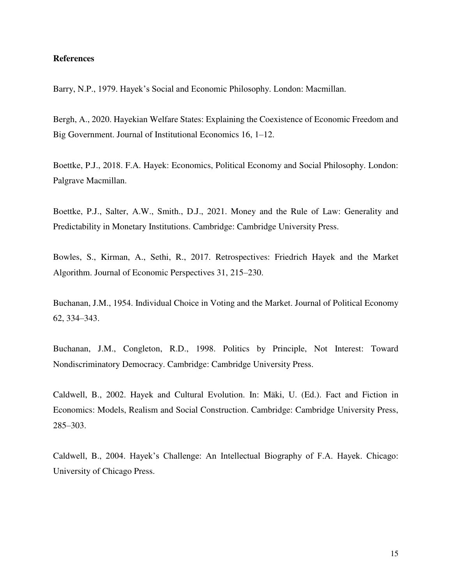# **References**

Barry, N.P., 1979. Hayek's Social and Economic Philosophy. London: Macmillan.

Bergh, A., 2020. Hayekian Welfare States: Explaining the Coexistence of Economic Freedom and Big Government. Journal of Institutional Economics 16, 1–12.

Boettke, P.J., 2018. F.A. Hayek: Economics, Political Economy and Social Philosophy. London: Palgrave Macmillan.

Boettke, P.J., Salter, A.W., Smith., D.J., 2021. Money and the Rule of Law: Generality and Predictability in Monetary Institutions. Cambridge: Cambridge University Press.

Bowles, S., Kirman, A., Sethi, R., 2017. Retrospectives: Friedrich Hayek and the Market Algorithm. Journal of Economic Perspectives 31, 215–230.

Buchanan, J.M., 1954. Individual Choice in Voting and the Market. Journal of Political Economy 62, 334–343.

Buchanan, J.M., Congleton, R.D., 1998. Politics by Principle, Not Interest: Toward Nondiscriminatory Democracy. Cambridge: Cambridge University Press.

Caldwell, B., 2002. Hayek and Cultural Evolution. In: Mäki, U. (Ed.). Fact and Fiction in Economics: Models, Realism and Social Construction. Cambridge: Cambridge University Press, 285–303.

Caldwell, B., 2004. Hayek's Challenge: An Intellectual Biography of F.A. Hayek. Chicago: University of Chicago Press.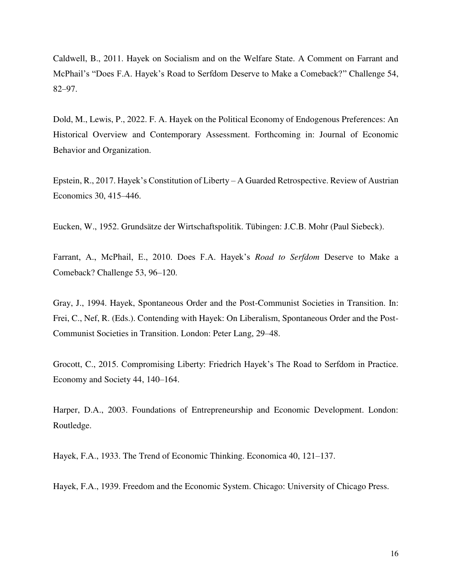Caldwell, B., 2011. Hayek on Socialism and on the Welfare State. A Comment on Farrant and McPhail's "Does F.A. Hayek's Road to Serfdom Deserve to Make a Comeback?" Challenge 54, 82–97.

Dold, M., Lewis, P., 2022. F. A. Hayek on the Political Economy of Endogenous Preferences: An Historical Overview and Contemporary Assessment. Forthcoming in: Journal of Economic Behavior and Organization.

Epstein, R., 2017. Hayek's Constitution of Liberty – A Guarded Retrospective. Review of Austrian Economics 30, 415–446.

Eucken, W., 1952. Grundsätze der Wirtschaftspolitik. Tübingen: J.C.B. Mohr (Paul Siebeck).

Farrant, A., McPhail, E., 2010. Does F.A. Hayek's *Road to Serfdom* Deserve to Make a Comeback? Challenge 53, 96–120.

Gray, J., 1994. Hayek, Spontaneous Order and the Post-Communist Societies in Transition. In: Frei, C., Nef, R. (Eds.). Contending with Hayek: On Liberalism, Spontaneous Order and the Post-Communist Societies in Transition. London: Peter Lang, 29–48.

Grocott, C., 2015. Compromising Liberty: Friedrich Hayek's The Road to Serfdom in Practice. Economy and Society 44, 140–164.

Harper, D.A., 2003. Foundations of Entrepreneurship and Economic Development. London: Routledge.

Hayek, F.A., 1933. The Trend of Economic Thinking. Economica 40, 121–137.

Hayek, F.A., 1939. Freedom and the Economic System. Chicago: University of Chicago Press.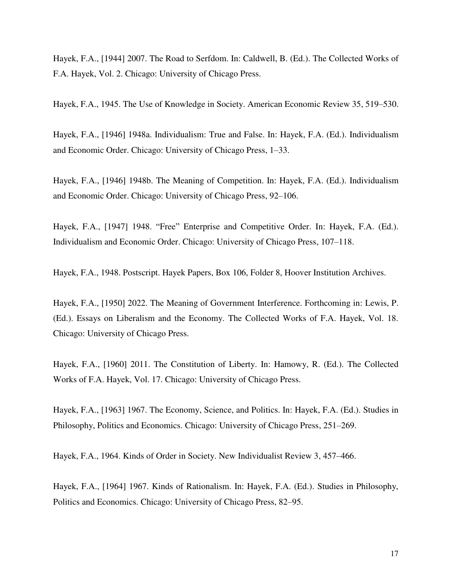Hayek, F.A., [1944] 2007. The Road to Serfdom. In: Caldwell, B. (Ed.). The Collected Works of F.A. Hayek, Vol. 2. Chicago: University of Chicago Press.

Hayek, F.A., 1945. The Use of Knowledge in Society. American Economic Review 35, 519–530.

Hayek, F.A., [1946] 1948a. Individualism: True and False. In: Hayek, F.A. (Ed.). Individualism and Economic Order. Chicago: University of Chicago Press, 1–33.

Hayek, F.A., [1946] 1948b. The Meaning of Competition. In: Hayek, F.A. (Ed.). Individualism and Economic Order. Chicago: University of Chicago Press, 92–106.

Hayek, F.A., [1947] 1948. "Free" Enterprise and Competitive Order. In: Hayek, F.A. (Ed.). Individualism and Economic Order. Chicago: University of Chicago Press, 107–118.

Hayek, F.A., 1948. Postscript. Hayek Papers, Box 106, Folder 8, Hoover Institution Archives.

Hayek, F.A., [1950] 2022. The Meaning of Government Interference. Forthcoming in: Lewis, P. (Ed.). Essays on Liberalism and the Economy. The Collected Works of F.A. Hayek, Vol. 18. Chicago: University of Chicago Press.

Hayek, F.A., [1960] 2011. The Constitution of Liberty. In: Hamowy, R. (Ed.). The Collected Works of F.A. Hayek, Vol. 17. Chicago: University of Chicago Press.

Hayek, F.A., [1963] 1967. The Economy, Science, and Politics. In: Hayek, F.A. (Ed.). Studies in Philosophy, Politics and Economics. Chicago: University of Chicago Press, 251–269.

Hayek, F.A., 1964. Kinds of Order in Society. New Individualist Review 3, 457–466.

Hayek, F.A., [1964] 1967. Kinds of Rationalism. In: Hayek, F.A. (Ed.). Studies in Philosophy, Politics and Economics. Chicago: University of Chicago Press, 82–95.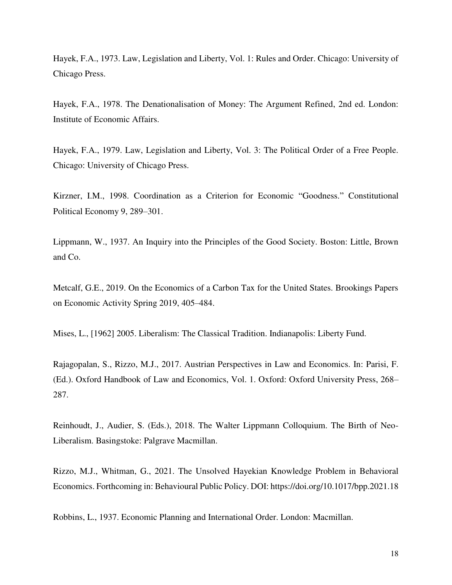Hayek, F.A., 1973. Law, Legislation and Liberty, Vol. 1: Rules and Order. Chicago: University of Chicago Press.

Hayek, F.A., 1978. The Denationalisation of Money: The Argument Refined, 2nd ed. London: Institute of Economic Affairs.

Hayek, F.A., 1979. Law, Legislation and Liberty, Vol. 3: The Political Order of a Free People. Chicago: University of Chicago Press.

Kirzner, I.M., 1998. Coordination as a Criterion for Economic "Goodness." Constitutional Political Economy 9, 289–301.

Lippmann, W., 1937. An Inquiry into the Principles of the Good Society. Boston: Little, Brown and Co.

Metcalf, G.E., 2019. On the Economics of a Carbon Tax for the United States. Brookings Papers on Economic Activity Spring 2019, 405–484.

Mises, L., [1962] 2005. Liberalism: The Classical Tradition. Indianapolis: Liberty Fund.

Rajagopalan, S., Rizzo, M.J., 2017. Austrian Perspectives in Law and Economics. In: Parisi, F. (Ed.). Oxford Handbook of Law and Economics, Vol. 1. Oxford: Oxford University Press, 268– 287.

Reinhoudt, J., Audier, S. (Eds.), 2018. The Walter Lippmann Colloquium. The Birth of Neo-Liberalism. Basingstoke: Palgrave Macmillan.

Rizzo, M.J., Whitman, G., 2021. The Unsolved Hayekian Knowledge Problem in Behavioral Economics. Forthcoming in: Behavioural Public Policy. DOI: https://doi.org/10.1017/bpp.2021.18

Robbins, L., 1937. Economic Planning and International Order. London: Macmillan.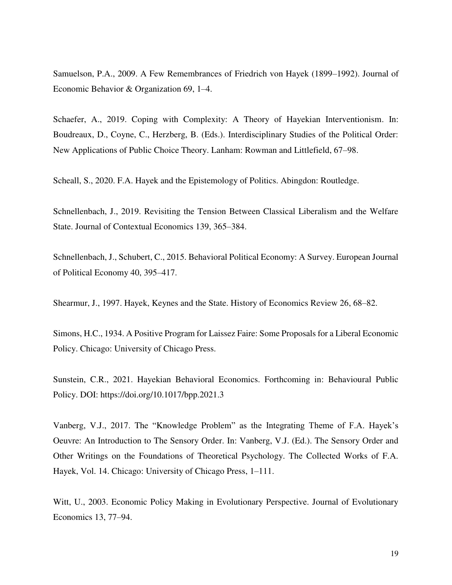Samuelson, P.A., 2009. A Few Remembrances of Friedrich von Hayek (1899–1992). Journal of Economic Behavior & Organization 69, 1–4.

Schaefer, A., 2019. Coping with Complexity: A Theory of Hayekian Interventionism. In: Boudreaux, D., Coyne, C., Herzberg, B. (Eds.). Interdisciplinary Studies of the Political Order: New Applications of Public Choice Theory. Lanham: Rowman and Littlefield, 67–98.

Scheall, S., 2020. F.A. Hayek and the Epistemology of Politics. Abingdon: Routledge.

Schnellenbach, J., 2019. Revisiting the Tension Between Classical Liberalism and the Welfare State. Journal of Contextual Economics 139, 365–384.

Schnellenbach, J., Schubert, C., 2015. Behavioral Political Economy: A Survey. European Journal of Political Economy 40, 395–417.

Shearmur, J., 1997. Hayek, Keynes and the State. History of Economics Review 26, 68–82.

Simons, H.C., 1934. A Positive Program for Laissez Faire: Some Proposals for a Liberal Economic Policy. Chicago: University of Chicago Press.

Sunstein, C.R., 2021. Hayekian Behavioral Economics. Forthcoming in: Behavioural Public Policy. DOI: https://doi.org/10.1017/bpp.2021.3

Vanberg, V.J., 2017. The "Knowledge Problem" as the Integrating Theme of F.A. Hayek's Oeuvre: An Introduction to The Sensory Order. In: Vanberg, V.J. (Ed.). The Sensory Order and Other Writings on the Foundations of Theoretical Psychology. The Collected Works of F.A. Hayek, Vol. 14. Chicago: University of Chicago Press, 1–111.

Witt, U., 2003. Economic Policy Making in Evolutionary Perspective. Journal of Evolutionary Economics 13, 77–94.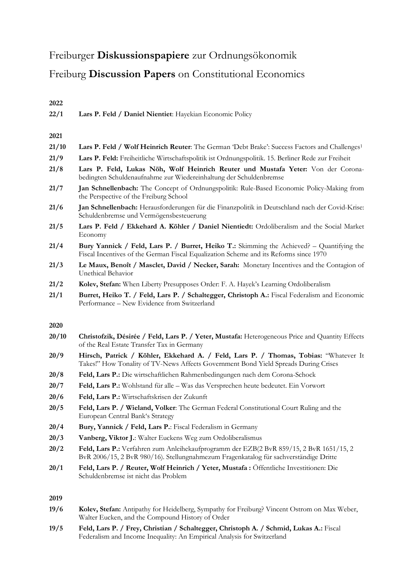# Freiburger **Diskussionspapiere** zur Ordnungsökonomik

# Freiburg **Discussion Papers** on Constitutional Economics

| 22/1  | Lars P. Feld / Daniel Nientiet: Hayekian Economic Policy                                                                                                                           |
|-------|------------------------------------------------------------------------------------------------------------------------------------------------------------------------------------|
| 2021  |                                                                                                                                                                                    |
| 21/10 | Lars P. Feld / Wolf Heinrich Reuter: The German 'Debt Brake': Success Factors and Challenges <sup>1</sup>                                                                          |
| 21/9  | Lars P. Feld: Freiheitliche Wirtschaftspolitik ist Ordnungspolitik. 15. Berliner Rede zur Freiheit                                                                                 |
| 21/8  | Lars P. Feld, Lukas Nöh, Wolf Heinrich Reuter und Mustafa Yeter: Von der Corona-<br>bedingten Schuldenaufnahme zur Wiedereinhaltung der Schuldenbremse                             |
| 21/7  | Jan Schnellenbach: The Concept of Ordnungspolitik: Rule-Based Economic Policy-Making from<br>the Perspective of the Freiburg School                                                |
| 21/6  | Jan Schnellenbach: Herausforderungen für die Finanzpolitik in Deutschland nach der Covid-Krise:<br>Schuldenbremse und Vermögensbesteuerung                                         |
| 21/5  | Lars P. Feld / Ekkehard A. Köhler / Daniel Nientiedt: Ordoliberalism and the Social Market<br>Economy                                                                              |
| 21/4  | Bury Yannick / Feld, Lars P. / Burret, Heiko T.: Skimming the Achieved? – Quantifying the<br>Fiscal Incentives of the German Fiscal Equalization Scheme and its Reforms since 1970 |
| 21/3  | Le Maux, Benoît / Masclet, David / Necker, Sarah: Monetary Incentives and the Contagion of<br>Unethical Behavior                                                                   |
| 21/2  | Kolev, Stefan: When Liberty Presupposes Order: F. A. Hayek's Learning Ordoliberalism                                                                                               |
| 21/1  | Burret, Heiko T. / Feld, Lars P. / Schaltegger, Christoph A.: Fiscal Federalism and Economic<br>Performance - New Evidence from Switzerland                                        |
| 2020  |                                                                                                                                                                                    |
| 20/10 | Christofzik, Désirée / Feld, Lars P. / Yeter, Mustafa: Heterogeneous Price and Quantity Effects<br>of the Real Estate Transfer Tax in Germany                                      |
| 20/9  | Hirsch, Patrick / Köhler, Ekkehard A. / Feld, Lars P. / Thomas, Tobias: "Whatever It<br>Takes!" How Tonality of TV-News Affects Government Bond Yield Spreads During Crises        |
| 20/8  | Feld, Lars P.: Die wirtschaftlichen Rahmenbedingungen nach dem Corona-Schock                                                                                                       |
| 20/7  | Feld, Lars P.: Wohlstand für alle - Was das Versprechen heute bedeutet. Ein Vorwort                                                                                                |
| 20/6  | Feld, Lars P.: Wirtschaftskrisen der Zukunft                                                                                                                                       |
| 20/5  | Feld, Lars P. / Wieland, Volker: The German Federal Constitutional Court Ruling and the<br>European Central Bank's Strategy                                                        |
| 20/4  | Bury, Yannick / Feld, Lars P.: Fiscal Federalism in Germany                                                                                                                        |
| 20/3  | Vanberg, Viktor J.: Walter Euckens Weg zum Ordoliberalismus                                                                                                                        |
| 20/2  | Feld, Lars P.: Verfahren zum Anleihekaufprogramm der EZB(2 BvR 859/15, 2 BvR 1651/15, 2<br>BvR 2006/15, 2 BvR 980/16). Stellungnahmezum Fragenkatalog für sachverständige Dritte   |
| 20/1  | Feld, Lars P. / Reuter, Wolf Heinrich / Yeter, Mustafa : Öffentliche Investitionen: Die<br>Schuldenbremse ist nicht das Problem                                                    |
| 2019  |                                                                                                                                                                                    |
| 19/6  | Kolev, Stefan: Antipathy for Heidelberg, Sympathy for Freiburg? Vincent Ostrom on Max Weber,<br>Walter Eucken, and the Compound History of Order                                   |
| 19/5  | Feld, Lars P. / Frey, Christian / Schaltegger, Christoph A. / Schmid, Lukas A.: Fiscal<br>Federalism and Income Inequality: An Empirical Analysis for Switzerland                  |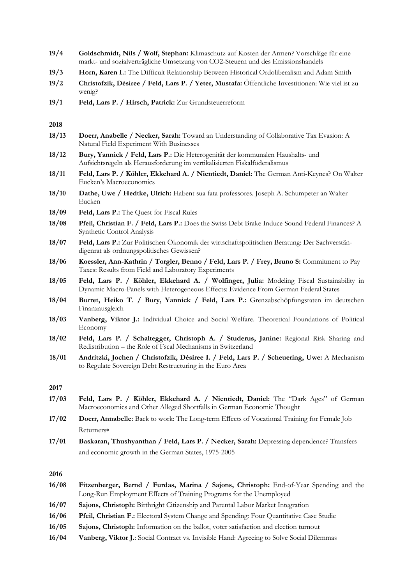- **19/4 Goldschmidt, Nils / Wolf, Stephan:** Klimaschutz auf Kosten der Armen? Vorschläge für eine markt- und sozialverträgliche Umsetzung von CO2-Steuern und des Emissionshandels
- **19/3 Horn, Karen I.:** The Difficult Relationship Between Historical Ordoliberalism and Adam Smith
- **19/2 Christofzik, Désiree / Feld, Lars P. / Yeter, Mustafa:** Öffentliche Investitionen: Wie viel ist zu wenig?
- **19/1 Feld, Lars P. / Hirsch, Patrick:** Zur Grundsteuerreform

- **18/13 Doerr, Anabelle / Necker, Sarah:** Toward an Understanding of Collaborative Tax Evasion: A Natural Field Experiment With Businesses
- **18/12 Bury, Yannick / Feld, Lars P.:** Die Heterogenität der kommunalen Haushalts- und Aufsichtsregeln als Herausforderung im vertikalisierten Fiskalföderalismus
- **18/11 Feld, Lars P. / Köhler, Ekkehard A. / Nientiedt, Daniel:** The German Anti-Keynes? On Walter Eucken's Macroeconomics
- **18/10 Dathe, Uwe / Hedtke, Ulrich:** Habent sua fata professores. Joseph A. Schumpeter an Walter Eucken
- **18/09 Feld, Lars P.:** The Quest for Fiscal Rules
- **18/08 Pfeil, Christian F. / Feld, Lars P.:** Does the Swiss Debt Brake Induce Sound Federal Finances? A Synthetic Control Analysis
- **18/07 Feld, Lars P.:** Zur Politischen Ökonomik der wirtschaftspolitischen Beratung: Der Sachverständigenrat als ordnungspolitisches Gewissen?
- **18/06 Koessler, Ann-Kathrin / Torgler, Benno / Feld, Lars P. / Frey, Bruno S:** Commitment to Pay Taxes: Results from Field and Laboratory Experiments
- **18/05 Feld, Lars P. / Köhler, Ekkehard A. / Wolfinger, Julia:** Modeling Fiscal Sustainability in Dynamic Macro-Panels with Heterogeneous Effects: Evidence From German Federal States
- **18/04 Burret, Heiko T. / Bury, Yannick / Feld, Lars P.:** Grenzabschöpfungsraten im deutschen Finanzausgleich
- **18/03 Vanberg, Viktor J.:** Individual Choice and Social Welfare. Theoretical Foundations of Political Economy
- **18/02 Feld, Lars P. / Schaltegger, Christoph A. / Studerus, Janine:** Regional Risk Sharing and Redistribution – the Role of Fscal Mechanisms in Switzerland
- **18/01 Andritzki, Jochen / Christofzik, Désiree I. / Feld, Lars P. / Scheuering, Uwe:** A Mechanism to Regulate Sovereign Debt Restructuring in the Euro Area

#### **2017**

- **17/03 Feld, Lars P. / Köhler, Ekkehard A. / Nientiedt, Daniel:** The "Dark Ages" of German Macroeconomics and Other Alleged Shortfalls in German Economic Thought
- **17/02 Doerr, Annabelle:** Back to work: The Long-term Effects of Vocational Training for Female Job Returners∗
- **17/01 Baskaran, Thushyanthan / Feld, Lars P. / Necker, Sarah:** Depressing dependence? Transfers and economic growth in the German States, 1975-2005

- **16/08 Fitzenberger, Bernd / Furdas, Marina / Sajons, Christoph:** End-of-Year Spending and the Long-Run Employment Effects of Training Programs for the Unemployed
- **16/07 Sajons, Christoph:** Birthright Citizenship and Parental Labor Market Integration
- **16/06 Pfeil, Christian F.:** Electoral System Change and Spending: Four Quantitative Case Studie
- **16/05 Sajons, Christoph:** Information on the ballot, voter satisfaction and election turnout
- **16/04 Vanberg, Viktor J.**: Social Contract vs. Invisible Hand: Agreeing to Solve Social Dilemmas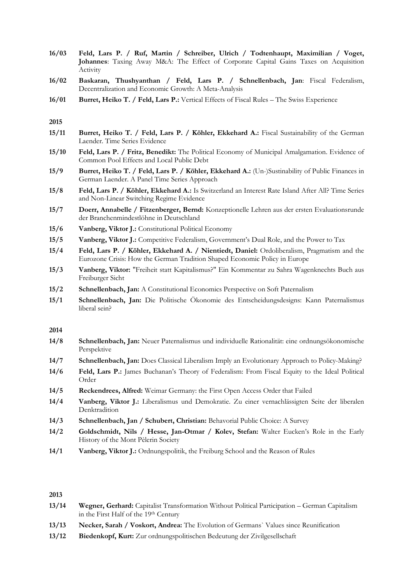- **16/03 Feld, Lars P. / Ruf, Martin / Schreiber, Ulrich / Todtenhaupt, Maximilian / Voget, Johannes**: Taxing Away M&A: The Effect of Corporate Capital Gains Taxes on Acquisition Activity
- **16/02 Baskaran, Thushyanthan / Feld, Lars P. / Schnellenbach, Jan**: Fiscal Federalism, Decentralization and Economic Growth: A Meta-Analysis
- **16/01 Burret, Heiko T. / Feld, Lars P.:** Vertical Effects of Fiscal Rules The Swiss Experience

- **15/11 Burret, Heiko T. / Feld, Lars P. / Köhler, Ekkehard A.:** Fiscal Sustainability of the German Laender. Time Series Evidence
- **15/10 Feld, Lars P. / Fritz, Benedikt:** The Political Economy of Municipal Amalgamation. Evidence of Common Pool Effects and Local Public Debt
- **15/9 Burret, Heiko T. / Feld, Lars P. / Köhler, Ekkehard A.:** (Un-)Sustinability of Public Finances in German Laender. A Panel Time Series Approach
- **15/8 Feld, Lars P. / Köhler, Ekkehard A.:** Is Switzerland an Interest Rate Island After All? Time Series and Non-Linear Switching Regime Evidence
- **15/7 Doerr, Annabelle / Fitzenberger, Bernd:** Konzeptionelle Lehren aus der ersten Evaluationsrunde der Branchenmindestlöhne in Deutschland
- **15/6 Vanberg, Viktor J.:** Constitutional Political Economy
- **15/5 Vanberg, Viktor J.:** Competitive Federalism, Government's Dual Role, and the Power to Tax
- **15/4 Feld, Lars P. / Köhler, Ekkehard A. / Nientiedt, Daniel:** Ordoliberalism, Pragmatism and the Eurozone Crisis: How the German Tradition Shaped Economic Policy in Europe
- **15/3 Vanberg, Viktor:** "Freiheit statt Kapitalismus?" Ein Kommentar zu Sahra Wagenknechts Buch aus Freiburger Sicht
- **15/2 Schnellenbach, Jan:** A Constitutional Economics Perspective on Soft Paternalism
- **15/1 Schnellenbach, Jan:** Die Politische Ökonomie des Entscheidungsdesigns: Kann Paternalismus liberal sein?

### **2014**

- **14/8 Schnellenbach, Jan:** Neuer Paternalismus und individuelle Rationalität: eine ordnungsökonomische Perspektive
- **14/7 Schnellenbach, Jan:** Does Classical Liberalism Imply an Evolutionary Approach to Policy-Making?
- **14/6 Feld, Lars P.:** James Buchanan's Theory of Federalism: From Fiscal Equity to the Ideal Political Order
- **14/5 Reckendrees, Alfred:** Weimar Germany: the First Open Access Order that Failed
- **14/4 Vanberg, Viktor J.:** Liberalismus und Demokratie. Zu einer vernachlässigten Seite der liberalen Denktradition
- **14/3 Schnellenbach, Jan / Schubert, Christian:** Behavorial Public Choice: A Survey
- **14/2 Goldschmidt, Nils / Hesse, Jan-Otmar / Kolev, Stefan:** Walter Eucken's Role in the Early History of the Mont Pèlerin Society
- **14/1 Vanberg, Viktor J.:** Ordnungspolitik, the Freiburg School and the Reason of Rules

- **13/14 Wegner, Gerhard:** Capitalist Transformation Without Political Participation German Capitalism in the First Half of the 19th Century
- **13/13 Necker, Sarah / Voskort, Andrea:** The Evolution of Germans` Values since Reunification
- **13/12 Biedenkopf, Kurt:** Zur ordnungspolitischen Bedeutung der Zivilgesellschaft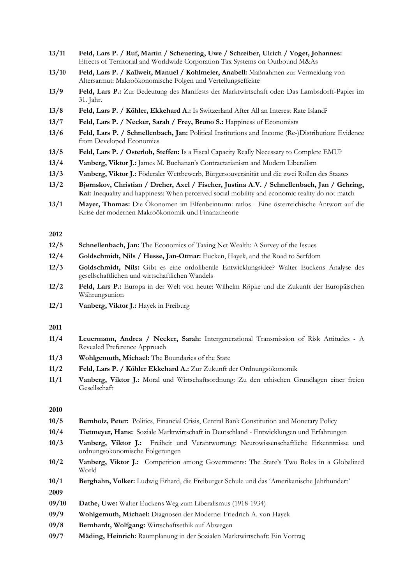- **13/11 Feld, Lars P. / Ruf, Martin / Scheuering, Uwe / Schreiber, Ulrich / Voget, Johannes:**  Effects of Territorial and Worldwide Corporation Tax Systems on Outbound M&As
- **13/10 Feld, Lars P. / Kallweit, Manuel / Kohlmeier, Anabell:** Maßnahmen zur Vermeidung von Altersarmut: Makroökonomische Folgen und Verteilungseffekte
- **13/9 Feld, Lars P.:** Zur Bedeutung des Manifests der Marktwirtschaft oder: Das Lambsdorff-Papier im 31. Jahr.
- **13/8 Feld, Lars P. / Köhler, Ekkehard A.:** Is Switzerland After All an Interest Rate Island?
- **13/7 Feld, Lars P. / Necker, Sarah / Frey, Bruno S.:** Happiness of Economists
- **13/6 Feld, Lars P. / Schnellenbach, Jan:** Political Institutions and Income (Re-)Distribution: Evidence from Developed Economies
- **13/5 Feld, Lars P. / Osterloh, Steffen:** Is a Fiscal Capacity Really Necessary to Complete EMU?
- **13/4 Vanberg, Viktor J.:** James M. Buchanan's Contractarianism and Modern Liberalism
- **13/3 Vanberg, Viktor J.:** Föderaler Wettbewerb, Bürgersouveränität und die zwei Rollen des Staates
- **13/2 Bjørnskov, Christian / Dreher, Axel / Fischer, Justina A.V. / Schnellenbach, Jan / Gehring, Kai:** Inequality and happiness: When perceived social mobility and economic reality do not match
- **13/1 Mayer, Thomas:** Die Ökonomen im Elfenbeinturm: ratlos Eine österreichische Antwort auf die Krise der modernen Makroökonomik und Finanztheorie

- **12/5 Schnellenbach, Jan:** The Economics of Taxing Net Wealth: A Survey of the Issues
- **12/4 Goldschmidt, Nils / Hesse, Jan-Otmar:** Eucken, Hayek, and the Road to Serfdom
- **12/3 Goldschmidt, Nils:** Gibt es eine ordoliberale Entwicklungsidee? Walter Euckens Analyse des gesellschaftlichen und wirtschaftlichen Wandels
- **12/2 Feld, Lars P.:** Europa in der Welt von heute: Wilhelm Röpke und die Zukunft der Europäischen Währungsunion
- **12/1 Vanberg, Viktor J.:** Hayek in Freiburg

### **2011**

- **11/4 Leuermann, Andrea / Necker, Sarah:** Intergenerational Transmission of Risk Attitudes A Revealed Preference Approach
- **11/3 Wohlgemuth, Michael:** The Boundaries of the State
- **11/2 Feld, Lars P. / Köhler Ekkehard A.:** Zur Zukunft der Ordnungsökonomik
- **11/1 Vanberg, Viktor J.:** Moral und Wirtschaftsordnung: Zu den ethischen Grundlagen einer freien Gesellschaft

- **10/5 Bernholz, Peter:** Politics, Financial Crisis, Central Bank Constitution and Monetary Policy
- **10/4 Tietmeyer, Hans:** Soziale Marktwirtschaft in Deutschland Entwicklungen und Erfahrungen
- **10/3 Vanberg, Viktor J.:** Freiheit und Verantwortung: Neurowissenschaftliche Erkenntnisse und ordnungsökonomische Folgerungen
- **10/2 Vanberg, Viktor J.:** Competition among Governments: The State's Two Roles in a Globalized World
- **10/1 Berghahn, Volker:** Ludwig Erhard, die Freiburger Schule und das 'Amerikanische Jahrhundert'
- **2009**
- **09/10 Dathe, Uwe:** Walter Euckens Weg zum Liberalismus (1918-1934)
- **09/9 Wohlgemuth, Michael:** Diagnosen der Moderne: Friedrich A. von Hayek
- **09/8 Bernhardt, Wolfgang:** Wirtschaftsethik auf Abwegen
- **09/7 Mäding, Heinrich:** Raumplanung in der Sozialen Marktwirtschaft: Ein Vortrag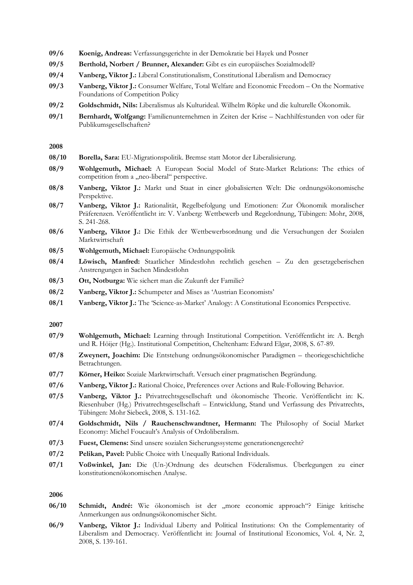- **09/6 Koenig, Andreas:** Verfassungsgerichte in der Demokratie bei Hayek und Posner
- **09/5 Berthold, Norbert / Brunner, Alexander:** Gibt es ein europäisches Sozialmodell?
- **09/4 Vanberg, Viktor J.:** Liberal Constitutionalism, Constitutional Liberalism and Democracy
- **09/3 Vanberg, Viktor J.:** Consumer Welfare, Total Welfare and Economic Freedom On the Normative Foundations of Competition Policy
- **09/2 Goldschmidt, Nils:** Liberalismus als Kulturideal. Wilhelm Röpke und die kulturelle Ökonomik.
- **09/1 Bernhardt, Wolfgang:** Familienunternehmen in Zeiten der Krise Nachhilfestunden von oder für Publikumsgesellschaften?

- **08/10 Borella, Sara:** EU-Migrationspolitik. Bremse statt Motor der Liberalisierung.
- **08/9 Wohlgemuth, Michael:** A European Social Model of State-Market Relations: The ethics of competition from a "neo-liberal" perspective.
- **08/8 Vanberg, Viktor J.:** Markt und Staat in einer globalisierten Welt: Die ordnungsökonomische Perspektive.
- **08/7 Vanberg, Viktor J.:** Rationalität, Regelbefolgung und Emotionen: Zur Ökonomik moralischer Präferenzen. Veröffentlicht in: V. Vanberg: Wettbewerb und Regelordnung, Tübingen: Mohr, 2008, S. 241-268.
- **08/6 Vanberg, Viktor J.:** Die Ethik der Wettbewerbsordnung und die Versuchungen der Sozialen Marktwirtschaft
- **08/5 Wohlgemuth, Michael:** Europäische Ordnungspolitik
- **08/4 Löwisch, Manfred:** Staatlicher Mindestlohn rechtlich gesehen Zu den gesetzgeberischen Anstrengungen in Sachen Mindestlohn
- **08/3 Ott, Notburga:** Wie sichert man die Zukunft der Familie?
- **08/2 Vanberg, Viktor J.:** Schumpeter and Mises as 'Austrian Economists'
- **08/1 Vanberg, Viktor J.:** The 'Science-as-Market' Analogy: A Constitutional Economics Perspective.

### **2007**

- **07/9 Wohlgemuth, Michael:** Learning through Institutional Competition. Veröffentlicht in: A. Bergh und R. Höijer (Hg.). Institutional Competition, Cheltenham: Edward Elgar, 2008, S. 67-89.
- **07/8 Zweynert, Joachim:** Die Entstehung ordnungsökonomischer Paradigmen theoriegeschichtliche Betrachtungen.
- **07/7 Körner, Heiko:** Soziale Marktwirtschaft. Versuch einer pragmatischen Begründung.
- **07/6 Vanberg, Viktor J.:** Rational Choice, Preferences over Actions and Rule-Following Behavior.
- **07/5 Vanberg, Viktor J.:** Privatrechtsgesellschaft und ökonomische Theorie. Veröffentlicht in: K. Riesenhuber (Hg.) Privatrechtsgesellschaft – Entwicklung, Stand und Verfassung des Privatrechts, Tübingen: Mohr Siebeck, 2008, S. 131-162.
- **07/4 Goldschmidt, Nils / Rauchenschwandtner, Hermann:** The Philosophy of Social Market Economy: Michel Foucault's Analysis of Ordoliberalism.
- **07/3 Fuest, Clemens:** Sind unsere sozialen Sicherungssysteme generationengerecht?
- **07/2** Pelikan, Pavel: Public Choice with Unequally Rational Individuals.
- **07/1 Voßwinkel, Jan:** Die (Un-)Ordnung des deutschen Föderalismus. Überlegungen zu einer konstitutionenökonomischen Analyse.

- 06/10 Schmidt, André: Wie ökonomisch ist der "more economic approach"? Einige kritische Anmerkungen aus ordnungsökonomischer Sicht.
- **06/9 Vanberg, Viktor J.:** Individual Liberty and Political Institutions: On the Complementarity of Liberalism and Democracy. Veröffentlicht in: Journal of Institutional Economics, Vol. 4, Nr. 2, 2008, S. 139-161.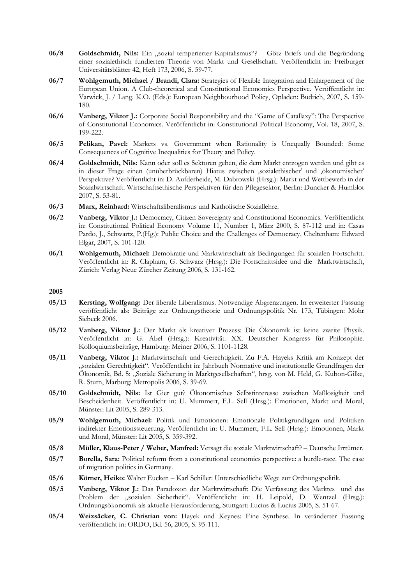- 06/8 Goldschmidt, Nils: Ein "sozial temperierter Kapitalismus"? Götz Briefs und die Begründung einer sozialethisch fundierten Theorie von Markt und Gesellschaft. Veröffentlicht in: Freiburger Universitätsblätter 42, Heft 173, 2006, S. 59-77.
- **06/7 Wohlgemuth, Michael / Brandi, Clara:** Strategies of Flexible Integration and Enlargement of the European Union. A Club-theoretical and Constitutional Economics Perspective. Veröffentlicht in: Varwick, J. / Lang. K.O. (Eds.): European Neighbourhood Policy, Opladen: Budrich, 2007, S. 159- 180.
- **06/6 Vanberg, Viktor J.:** Corporate Social Responsibility and the "Game of Catallaxy": The Perspective of Constitutional Economics. Veröffentlicht in: Constitutional Political Economy, Vol. 18, 2007, S. 199-222.
- **06/5 Pelikan, Pavel:** Markets vs. Government when Rationality is Unequally Bounded: Some Consequences of Cognitive Inequalities for Theory and Policy.
- **06/4 Goldschmidt, Nils:** Kann oder soll es Sektoren geben, die dem Markt entzogen werden und gibt es in dieser Frage einen (unüberbrückbaren) Hiatus zwischen ,sozialethischer' und ,ökonomischer' Perspektive? Veröffentlicht in: D. Aufderheide, M. Dabrowski (Hrsg.): Markt und Wettbewerb in der Sozialwirtschaft. Wirtschaftsethische Perspektiven für den Pflegesektor, Berlin: Duncker & Humblot 2007, S. 53-81.
- **06/3 Marx, Reinhard:** Wirtschaftsliberalismus und Katholische Soziallehre.
- **06/2 Vanberg, Viktor J.:** Democracy, Citizen Sovereignty and Constitutional Economics. Veröffentlicht in: Constitutional Political Economy Volume 11, Number 1, März 2000, S. 87-112 und in: Casas Pardo, J., Schwartz, P.(Hg.): Public Choice and the Challenges of Democracy, Cheltenham: Edward Elgar, 2007, S. 101-120.
- **06/1 Wohlgemuth, Michael:** Demokratie und Marktwirtschaft als Bedingungen für sozialen Fortschritt. Veröffentlicht in: R. Clapham, G. Schwarz (Hrsg.): Die Fortschrittsidee und die Marktwirtschaft, Zürich: Verlag Neue Zürcher Zeitung 2006, S. 131-162.

- **05/13 Kersting, Wolfgang:** Der liberale Liberalismus. Notwendige Abgrenzungen. In erweiterter Fassung veröffentlicht als: Beiträge zur Ordnungstheorie und Ordnungspolitik Nr. 173, Tübingen: Mohr Siebeck 2006.
- **05/12 Vanberg, Viktor J.:** Der Markt als kreativer Prozess: Die Ökonomik ist keine zweite Physik. Veröffentlicht in: G. Abel (Hrsg.): Kreativität. XX. Deutscher Kongress für Philosophie. Kolloquiumsbeiträge, Hamburg: Meiner 2006, S. 1101-1128.
- **05/11 Vanberg, Viktor J.:** Marktwirtschaft und Gerechtigkeit. Zu F.A. Hayeks Kritik am Konzept der "sozialen Gerechtigkeit". Veröffentlicht in: Jahrbuch Normative und institutionelle Grundfragen der Ökonomik, Bd. 5: "Soziale Sicherung in Marktgesellschaften", hrsg. von M. Held, G. Kubon-Gilke, R. Sturn, Marburg: Metropolis 2006, S. 39-69.
- **05/10 Goldschmidt, Nils:** Ist Gier gut? Ökonomisches Selbstinteresse zwischen Maßlosigkeit und Bescheidenheit. Veröffentlicht in: U. Mummert, F.L. Sell (Hrsg.): Emotionen, Markt und Moral, Münster: Lit 2005, S. 289-313.
- **05/9 Wohlgemuth, Michael:** Politik und Emotionen: Emotionale Politikgrundlagen und Politiken indirekter Emotionssteuerung. Veröffentlicht in: U. Mummert, F.L. Sell (Hrsg.): Emotionen, Markt und Moral, Münster: Lit 2005, S. 359-392.
- **05/8 Müller, Klaus-Peter / Weber, Manfred:** Versagt die soziale Marktwirtschaft? Deutsche Irrtümer.
- **05/7 Borella, Sara:** Political reform from a constitutional economics perspective: a hurdle-race. The case of migration politics in Germany.
- **05/6 Körner, Heiko:** Walter Eucken Karl Schiller: Unterschiedliche Wege zur Ordnungspolitik.
- **05/5 Vanberg, Viktor J.:** Das Paradoxon der Marktwirtschaft: Die Verfassung des Marktes und das Problem der "sozialen Sicherheit". Veröffentlicht in: H. Leipold, D. Wentzel (Hrsg.): Ordnungsökonomik als aktuelle Herausforderung, Stuttgart: Lucius & Lucius 2005, S. 51-67.
- **05/4 Weizsäcker, C. Christian von:** Hayek und Keynes: Eine Synthese. In veränderter Fassung veröffentlicht in: ORDO, Bd. 56, 2005, S. 95-111.